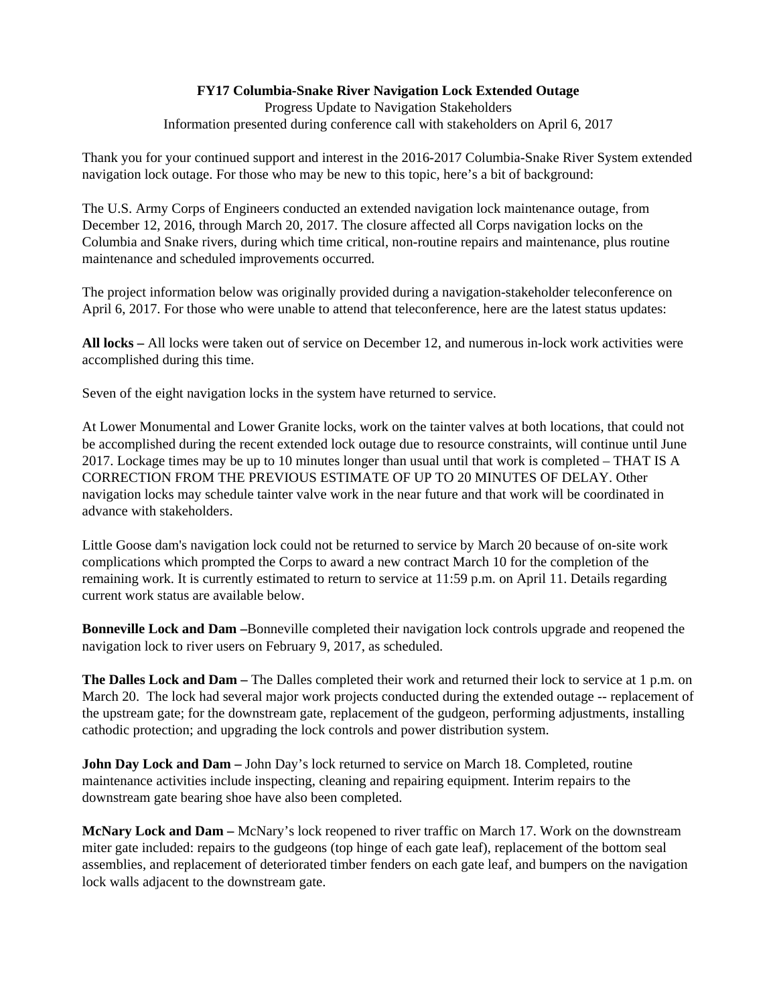## **FY17 Columbia-Snake River Navigation Lock Extended Outage**

Progress Update to Navigation Stakeholders Information presented during conference call with stakeholders on April 6, 2017

Thank you for your continued support and interest in the 2016-2017 Columbia-Snake River System extended navigation lock outage. For those who may be new to this topic, here's a bit of background:

The U.S. Army Corps of Engineers conducted an extended navigation lock maintenance outage, from December 12, 2016, through March 20, 2017. The closure affected all Corps navigation locks on the Columbia and Snake rivers, during which time critical, non-routine repairs and maintenance, plus routine maintenance and scheduled improvements occurred.

The project information below was originally provided during a navigation-stakeholder teleconference on April 6, 2017. For those who were unable to attend that teleconference, here are the latest status updates:

**All locks –** All locks were taken out of service on December 12, and numerous in-lock work activities were accomplished during this time.

Seven of the eight navigation locks in the system have returned to service.

At Lower Monumental and Lower Granite locks, work on the tainter valves at both locations, that could not be accomplished during the recent extended lock outage due to resource constraints, will continue until June 2017. Lockage times may be up to 10 minutes longer than usual until that work is completed – THAT IS A CORRECTION FROM THE PREVIOUS ESTIMATE OF UP TO 20 MINUTES OF DELAY. Other navigation locks may schedule tainter valve work in the near future and that work will be coordinated in advance with stakeholders.

Little Goose dam's navigation lock could not be returned to service by March 20 because of on-site work complications which prompted the Corps to award a new contract March 10 for the completion of the remaining work. It is currently estimated to return to service at 11:59 p.m. on April 11. Details regarding current work status are available below.

**Bonneville Lock and Dam –**Bonneville completed their navigation lock controls upgrade and reopened the navigation lock to river users on February 9, 2017, as scheduled.

**The Dalles Lock and Dam –** The Dalles completed their work and returned their lock to service at 1 p.m. on March 20. The lock had several major work projects conducted during the extended outage -- replacement of the upstream gate; for the downstream gate, replacement of the gudgeon, performing adjustments, installing cathodic protection; and upgrading the lock controls and power distribution system.

**John Day Lock and Dam** – John Day's lock returned to service on March 18. Completed, routine maintenance activities include inspecting, cleaning and repairing equipment. Interim repairs to the downstream gate bearing shoe have also been completed.

**McNary Lock and Dam –** McNary's lock reopened to river traffic on March 17. Work on the downstream miter gate included: repairs to the gudgeons (top hinge of each gate leaf), replacement of the bottom seal assemblies, and replacement of deteriorated timber fenders on each gate leaf, and bumpers on the navigation lock walls adjacent to the downstream gate.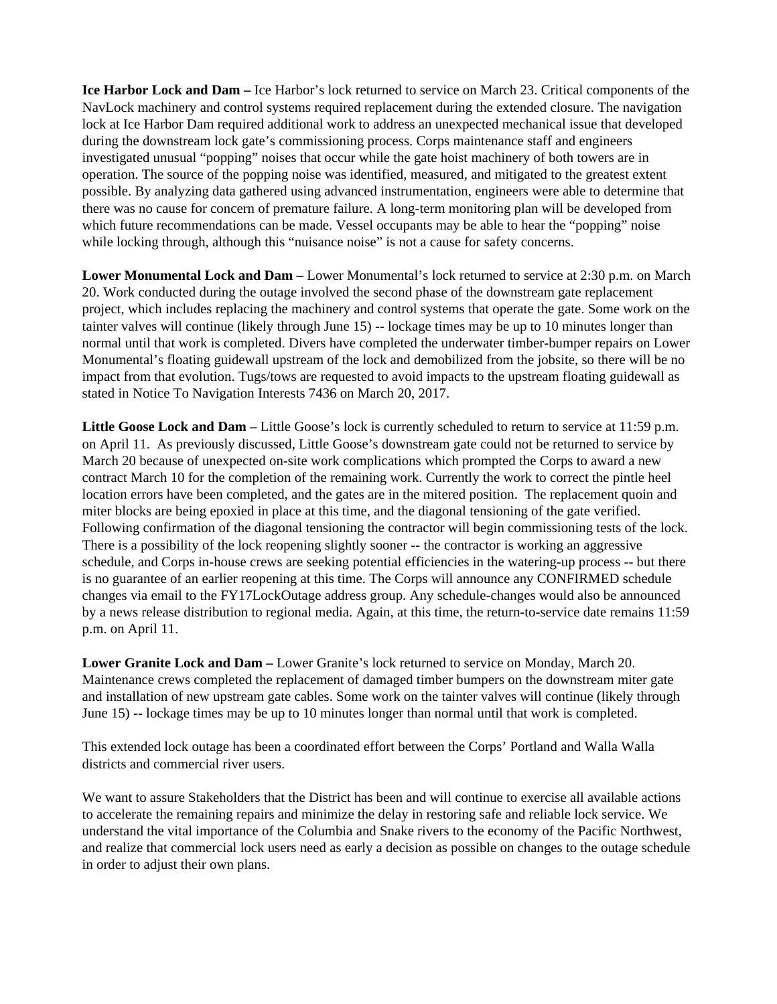**Ice Harbor Lock and Dam –** Ice Harbor's lock returned to service on March 23. Critical components of the NavLock machinery and control systems required replacement during the extended closure. The navigation lock at Ice Harbor Dam required additional work to address an unexpected mechanical issue that developed during the downstream lock gate's commissioning process. Corps maintenance staff and engineers investigated unusual "popping" noises that occur while the gate hoist machinery of both towers are in operation. The source of the popping noise was identified, measured, and mitigated to the greatest extent possible. By analyzing data gathered using advanced instrumentation, engineers were able to determine that there was no cause for concern of premature failure. A long-term monitoring plan will be developed from which future recommendations can be made. Vessel occupants may be able to hear the "popping" noise while locking through, although this "nuisance noise" is not a cause for safety concerns.

**Lower Monumental Lock and Dam –** Lower Monumental's lock returned to service at 2:30 p.m. on March 20. Work conducted during the outage involved the second phase of the downstream gate replacement project, which includes replacing the machinery and control systems that operate the gate. Some work on the tainter valves will continue (likely through June 15) -- lockage times may be up to 10 minutes longer than normal until that work is completed. Divers have completed the underwater timber-bumper repairs on Lower Monumental's floating guidewall upstream of the lock and demobilized from the jobsite, so there will be no impact from that evolution. Tugs/tows are requested to avoid impacts to the upstream floating guidewall as stated in Notice To Navigation Interests 7436 on March 20, 2017.

**Little Goose Lock and Dam –** Little Goose's lock is currently scheduled to return to service at 11:59 p.m. on April 11.As previously discussed, Little Goose's downstream gate could not be returned to service by March 20 because of unexpected on-site work complications which prompted the Corps to award a new contract March 10 for the completion of the remaining work. Currently the work to correct the pintle heel location errors have been completed, and the gates are in the mitered position. The replacement quoin and miter blocks are being epoxied in place at this time, and the diagonal tensioning of the gate verified. Following confirmation of the diagonal tensioning the contractor will begin commissioning tests of the lock. There is a possibility of the lock reopening slightly sooner -- the contractor is working an aggressive schedule, and Corps in-house crews are seeking potential efficiencies in the watering-up process -- but there is no guarantee of an earlier reopening at this time. The Corps will announce any CONFIRMED schedule changes via email to the FY17LockOutage address group. Any schedule-changes would also be announced by a news release distribution to regional media. Again, at this time, the return-to-service date remains 11:59 p.m. on April 11.

**Lower Granite Lock and Dam –** Lower Granite's lock returned to service on Monday, March 20. Maintenance crews completed the replacement of damaged timber bumpers on the downstream miter gate and installation of new upstream gate cables. Some work on the tainter valves will continue (likely through June 15) -- lockage times may be up to 10 minutes longer than normal until that work is completed.

This extended lock outage has been a coordinated effort between the Corps' Portland and Walla Walla districts and commercial river users.

We want to assure Stakeholders that the District has been and will continue to exercise all available actions to accelerate the remaining repairs and minimize the delay in restoring safe and reliable lock service. We understand the vital importance of the Columbia and Snake rivers to the economy of the Pacific Northwest, and realize that commercial lock users need as early a decision as possible on changes to the outage schedule in order to adjust their own plans.